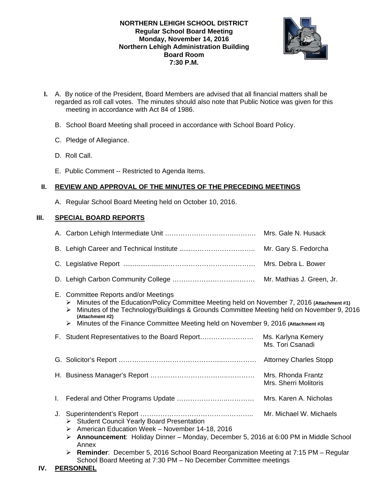## **NORTHERN LEHIGH SCHOOL DISTRICT Regular School Board Meeting Monday, November 14, 2016 Northern Lehigh Administration Building Board Room 7:30 P.M.**



- **I.** A. By notice of the President, Board Members are advised that all financial matters shall be regarded as roll call votes. The minutes should also note that Public Notice was given for this meeting in accordance with Act 84 of 1986.
	- B. School Board Meeting shall proceed in accordance with School Board Policy.
	- C. Pledge of Allegiance.
	- D. Roll Call.
	- E. Public Comment -- Restricted to Agenda Items.

# **II. REVIEW AND APPROVAL OF THE MINUTES OF THE PRECEDING MEETINGS**

A. Regular School Board Meeting held on October 10, 2016.

# **III. SPECIAL BOARD REPORTS**

|                                                                                                                                                                                                                                                                                                                                                       | Mrs. Debra L. Bower                                                                                                                                                                                                                                                                                                                                                                                                     |  |
|-------------------------------------------------------------------------------------------------------------------------------------------------------------------------------------------------------------------------------------------------------------------------------------------------------------------------------------------------------|-------------------------------------------------------------------------------------------------------------------------------------------------------------------------------------------------------------------------------------------------------------------------------------------------------------------------------------------------------------------------------------------------------------------------|--|
|                                                                                                                                                                                                                                                                                                                                                       |                                                                                                                                                                                                                                                                                                                                                                                                                         |  |
| E. Committee Reports and/or Meetings<br>Minutes of the Education/Policy Committee Meeting held on November 7, 2016 (Attachment #1)<br>➤<br>Minutes of the Technology/Buildings & Grounds Committee Meeting held on November 9, 2016<br>➤<br>(Attachment #2)<br>Minutes of the Finance Committee Meeting held on November 9, 2016 (Attachment #3)<br>➤ |                                                                                                                                                                                                                                                                                                                                                                                                                         |  |
|                                                                                                                                                                                                                                                                                                                                                       | Ms. Karlyna Kemery<br>Ms. Tori Csanadi                                                                                                                                                                                                                                                                                                                                                                                  |  |
|                                                                                                                                                                                                                                                                                                                                                       |                                                                                                                                                                                                                                                                                                                                                                                                                         |  |
|                                                                                                                                                                                                                                                                                                                                                       | Mrs. Rhonda Frantz<br>Mrs. Sherri Molitoris                                                                                                                                                                                                                                                                                                                                                                             |  |
|                                                                                                                                                                                                                                                                                                                                                       |                                                                                                                                                                                                                                                                                                                                                                                                                         |  |
|                                                                                                                                                                                                                                                                                                                                                       | Mr. Michael W. Michaels                                                                                                                                                                                                                                                                                                                                                                                                 |  |
|                                                                                                                                                                                                                                                                                                                                                       | F. Student Representatives to the Board Report<br>Student Council Yearly Board Presentation<br>$\triangleright$ American Education Week – November 14-18, 2016<br>Announcement: Holiday Dinner - Monday, December 5, 2016 at 6:00 PM in Middle School<br><b>Reminder:</b> December 5, 2016 School Board Reorganization Meeting at 7:15 PM - Regular<br>School Board Meeting at 7:30 PM - No December Committee meetings |  |

# **IV. PERSONNEL**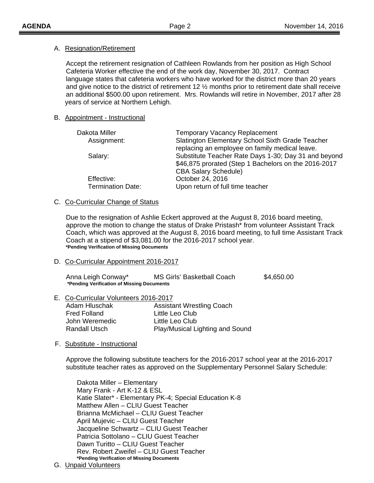### A. Resignation/Retirement

 Accept the retirement resignation of Cathleen Rowlands from her position as High School Cafeteria Worker effective the end of the work day, November 30, 2017. Contract language states that cafeteria workers who have worked for the district more than 20 years and give notice to the district of retirement 12 ½ months prior to retirement date shall receive an additional \$500.00 upon retirement. Mrs. Rowlands will retire in November, 2017 after 28 years of service at Northern Lehigh.

## B. Appointment - Instructional

| Dakota Miller                          | <b>Temporary Vacancy Replacement</b>                                                                                                        |
|----------------------------------------|---------------------------------------------------------------------------------------------------------------------------------------------|
| Assignment:                            | Slatington Elementary School Sixth Grade Teacher<br>replacing an employee on family medical leave.                                          |
| Salary:                                | Substitute Teacher Rate Days 1-30; Day 31 and beyond<br>\$46,875 prorated (Step 1 Bachelors on the 2016-2017<br><b>CBA Salary Schedule)</b> |
| Effective:<br><b>Termination Date:</b> | October 24, 2016<br>Upon return of full time teacher                                                                                        |

### C. Co-Curricular Change of Status

 Due to the resignation of Ashlie Eckert approved at the August 8, 2016 board meeting, approve the motion to change the status of Drake Pristash<sup>\*</sup> from volunteer Assistant Track Coach, which was approved at the August 8, 2016 board meeting, to full time Assistant Track Coach at a stipend of \$3,081.00 for the 2016-2017 school year.  **\*Pending Verification of Missing Documents** 

### D. Co-Curricular Appointment 2016-2017

| Anna Leigh Conway*                         | MS Girls' Basketball Coach | \$4,650.00 |
|--------------------------------------------|----------------------------|------------|
| *Pending Verification of Missing Documents |                            |            |

# E. Co-Curricular Volunteers 2016-2017 Adam Hluschak Assistant Wrestling Coach Fred Folland Little Leo Club

John Weremedic **Little Leo Club** Randall Utsch Play/Musical Lighting and Sound

# F. Substitute - Instructional

Approve the following substitute teachers for the 2016-2017 school year at the 2016-2017 substitute teacher rates as approved on the Supplementary Personnel Salary Schedule:

 Dakota Miller – Elementary Mary Frank - Art K-12 & ESL Katie Slater\* - Elementary PK-4; Special Education K-8 Matthew Allen – CLIU Guest Teacher Brianna McMichael – CLIU Guest Teacher April Mujevic – CLIU Guest Teacher Jacqueline Schwartz – CLIU Guest Teacher Patricia Sottolano – CLIU Guest Teacher Dawn Turitto – CLIU Guest Teacher Rev. Robert Zweifel – CLIU Guest Teacher  **\*Pending Verification of Missing Documents**

G. Unpaid Volunteers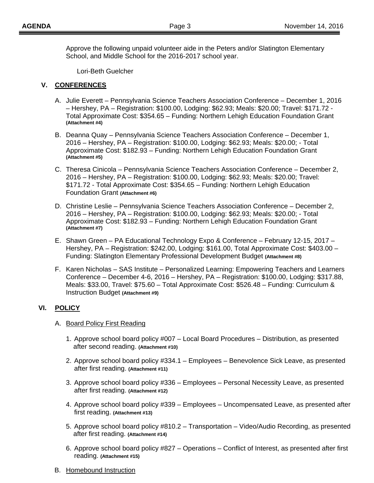Approve the following unpaid volunteer aide in the Peters and/or Slatington Elementary School, and Middle School for the 2016-2017 school year.

Lori-Beth Guelcher

## **V. CONFERENCES**

- A. Julie Everett Pennsylvania Science Teachers Association Conference December 1, 2016 – Hershey, PA – Registration: \$100.00, Lodging: \$62.93; Meals: \$20.00; Travel: \$171.72 - Total Approximate Cost: \$354.65 – Funding: Northern Lehigh Education Foundation Grant **(Attachment #4)**
- B. Deanna Quay Pennsylvania Science Teachers Association Conference December 1, 2016 – Hershey, PA – Registration: \$100.00, Lodging: \$62.93; Meals: \$20.00; - Total Approximate Cost: \$182.93 – Funding: Northern Lehigh Education Foundation Grant **(Attachment #5)**
- C. Theresa Cinicola Pennsylvania Science Teachers Association Conference December 2, 2016 – Hershey, PA – Registration: \$100.00, Lodging: \$62.93; Meals: \$20.00; Travel: \$171.72 - Total Approximate Cost: \$354.65 – Funding: Northern Lehigh Education Foundation Grant **(Attachment #6)**
- D. Christine Leslie Pennsylvania Science Teachers Association Conference December 2, 2016 – Hershey, PA – Registration: \$100.00, Lodging: \$62.93; Meals: \$20.00; - Total Approximate Cost: \$182.93 – Funding: Northern Lehigh Education Foundation Grant **(Attachment #7)**
- E. Shawn Green PA Educational Technology Expo & Conference February 12-15, 2017 Hershey, PA – Registration: \$242.00, Lodging: \$161.00, Total Approximate Cost: \$403.00 – Funding: Slatington Elementary Professional Development Budget **(Attachment #8)**
- F. Karen Nicholas SAS Institute Personalized Learning: Empowering Teachers and Learners Conference – December 4-6, 2016 – Hershey, PA – Registration: \$100.00, Lodging: \$317.88, Meals: \$33.00, Travel: \$75.60 – Total Approximate Cost: \$526.48 – Funding: Curriculum & Instruction Budget **(Attachment #9)**

# **VI. POLICY**

### A. Board Policy First Reading

- 1. Approve school board policy #007 Local Board Procedures Distribution, as presented after second reading. **(Attachment #10)**
- 2. Approve school board policy #334.1 Employees Benevolence Sick Leave, as presented after first reading. **(Attachment #11)**
- 3. Approve school board policy #336 Employees Personal Necessity Leave, as presented after first reading. **(Attachment #12)**
- 4. Approve school board policy #339 Employees Uncompensated Leave, as presented after first reading. **(Attachment #13)**
- 5. Approve school board policy #810.2 Transportation Video/Audio Recording, as presented after first reading. **(Attachment #14)**
- 6. Approve school board policy #827 Operations Conflict of Interest, as presented after first reading. **(Attachment #15)**
- B. Homebound Instruction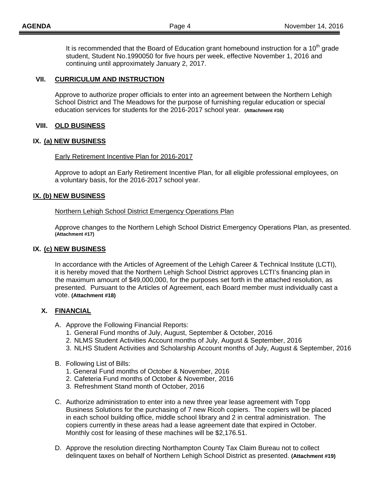It is recommended that the Board of Education grant homebound instruction for a  $10<sup>th</sup>$  grade student, Student No.1990050 for five hours per week, effective November 1, 2016 and continuing until approximately January 2, 2017.

### **VII. CURRICULUM AND INSTRUCTION**

 Approve to authorize proper officials to enter into an agreement between the Northern Lehigh School District and The Meadows for the purpose of furnishing regular education or special education services for students for the 2016-2017 school year. **(Attachment #16)**

### **VIII. OLD BUSINESS**

### **IX. (a) NEW BUSINESS**

#### Early Retirement Incentive Plan for 2016-2017

Approve to adopt an Early Retirement Incentive Plan, for all eligible professional employees, on a voluntary basis, for the 2016-2017 school year.

### **IX. (b) NEW BUSINESS**

#### Northern Lehigh School District Emergency Operations Plan

Approve changes to the Northern Lehigh School District Emergency Operations Plan, as presented. **(Attachment #17)** 

### **IX. (c) NEW BUSINESS**

In accordance with the Articles of Agreement of the Lehigh Career & Technical Institute (LCTI), it is hereby moved that the Northern Lehigh School District approves LCTI's financing plan in the maximum amount of \$49,000,000, for the purposes set forth in the attached resolution, as presented. Pursuant to the Articles of Agreement, each Board member must individually cast a vote. **(Attachment #18)** 

### **X. FINANCIAL**

- A. Approve the Following Financial Reports:
	- 1. General Fund months of July, August, September & October, 2016
	- 2. NLMS Student Activities Account months of July, August & September, 2016
	- 3. NLHS Student Activities and Scholarship Account months of July, August & September, 2016
- B. Following List of Bills:
	- 1. General Fund months of October & November, 2016
	- 2. Cafeteria Fund months of October & November, 2016
	- 3. Refreshment Stand month of October, 2016
- C. Authorize administration to enter into a new three year lease agreement with Topp Business Solutions for the purchasing of 7 new Ricoh copiers. The copiers will be placed in each school building office, middle school library and 2 in central administration. The copiers currently in these areas had a lease agreement date that expired in October. Monthly cost for leasing of these machines will be \$2,176.51.
- D. Approve the resolution directing Northampton County Tax Claim Bureau not to collect delinquent taxes on behalf of Northern Lehigh School District as presented. **(Attachment #19)**